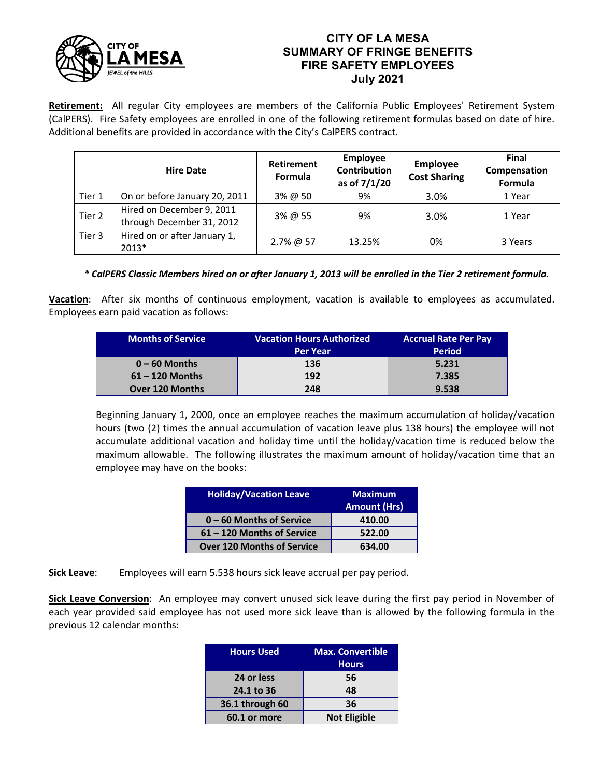

## **CITY OF LA MESA SUMMARY OF FRINGE BENEFITS FIRE SAFETY EMPLOYEES July 2021**

**Retirement:** All regular City employees are members of the California Public Employees' Retirement System (CalPERS). Fire Safety employees are enrolled in one of the following retirement formulas based on date of hire. Additional benefits are provided in accordance with the City's CalPERS contract.

|        | <b>Hire Date</b>                                       | <b>Retirement</b><br>Formula | Employee<br><b>Contribution</b><br>as of 7/1/20 | <b>Employee</b><br><b>Cost Sharing</b> | <b>Final</b><br>Compensation<br>Formula |
|--------|--------------------------------------------------------|------------------------------|-------------------------------------------------|----------------------------------------|-----------------------------------------|
| Tier 1 | On or before January 20, 2011                          | $3\%$ @ 50                   | 9%                                              | 3.0%                                   | 1 Year                                  |
| Tier 2 | Hired on December 9, 2011<br>through December 31, 2012 | 3% @ 55                      | 9%                                              | 3.0%                                   | 1 Year                                  |
| Tier 3 | Hired on or after January 1,<br>2013*                  | 2.7% @ 57                    | 13.25%                                          | 0%                                     | 3 Years                                 |

## *\* CalPERS Classic Members hired on or after January 1, 2013 will be enrolled in the Tier 2 retirement formula.*

**Vacation**: After six months of continuous employment, vacation is available to employees as accumulated. Employees earn paid vacation as follows:

| <b>Months of Service</b> | <b>Vacation Hours Authorized</b> | <b>Accrual Rate Per Pay</b> |  |
|--------------------------|----------------------------------|-----------------------------|--|
|                          | <b>Per Year</b>                  | <b>Period</b>               |  |
| $0 - 60$ Months          | 136                              | 5.231                       |  |
| $61 - 120$ Months        | 192                              | 7.385                       |  |
| <b>Over 120 Months</b>   | 248                              | 9.538                       |  |

Beginning January 1, 2000, once an employee reaches the maximum accumulation of holiday/vacation hours (two (2) times the annual accumulation of vacation leave plus 138 hours) the employee will not accumulate additional vacation and holiday time until the holiday/vacation time is reduced below the maximum allowable. The following illustrates the maximum amount of holiday/vacation time that an employee may have on the books:

| <b>Holiday/Vacation Leave</b>     | <b>Maximum</b>      |
|-----------------------------------|---------------------|
|                                   | <b>Amount (Hrs)</b> |
| $0 - 60$ Months of Service        | 410.00              |
| 61 - 120 Months of Service        | 522.00              |
| <b>Over 120 Months of Service</b> | 634.00              |

**Sick Leave**: Employees will earn 5.538 hours sick leave accrual per pay period.

**Sick Leave Conversion**: An employee may convert unused sick leave during the first pay period in November of each year provided said employee has not used more sick leave than is allowed by the following formula in the previous 12 calendar months:

| <b>Hours Used</b> | <b>Max. Convertible</b><br><b>Hours</b> |
|-------------------|-----------------------------------------|
| 24 or less        | 56                                      |
| 24.1 to 36        | 48                                      |
| 36.1 through 60   | 36                                      |
| 60.1 or more      | <b>Not Eligible</b>                     |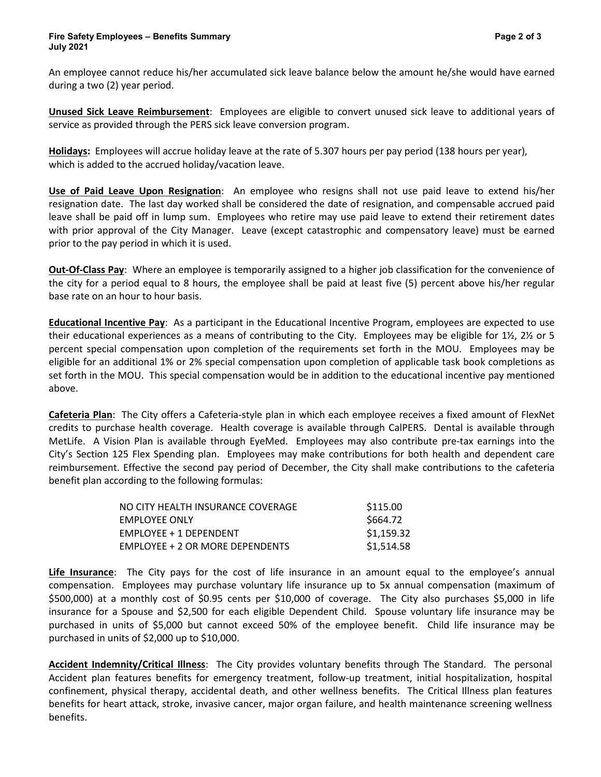An employee cannot reduce his/her accumulated sick leave balance below the amount he/she would have earned during a two (2) year period.

**Unused Sick Leave Reimbursement**: Employees are eligible to convert unused sick leave to additional years of service as provided through the PERS sick leave conversion program.

**Holidays:** Employees will accrue holiday leave at the rate of 5.307 hours per pay period (138 hours per year), which is added to the accrued holiday/vacation leave.

**Use of Paid Leave Upon Resignation**: An employee who resigns shall not use paid leave to extend his/her resignation date. The last day worked shall be considered the date of resignation, and compensable accrued paid leave shall be paid off in lump sum. Employees who retire may use paid leave to extend their retirement dates with prior approval of the City Manager. Leave (except catastrophic and compensatory leave) must be earned prior to the pay period in which it is used.

**Out-Of-Class Pay**: Where an employee is temporarily assigned to a higher job classification for the convenience of the city for a period equal to 8 hours, the employee shall be paid at least five (5) percent above his/her regular base rate on an hour to hour basis.

**Educational Incentive Pay**:As a participant in the Educational Incentive Program, employees are expected to use their educational experiences as a means of contributing to the City. Employees may be eligible for 1½, 2½ or 5 percent special compensation upon completion of the requirements set forth in the MOU. Employees may be eligible for an additional 1% or 2% special compensation upon completion of applicable task book completions as set forth in the MOU. This special compensation would be in addition to the educational incentive pay mentioned above.

**Cafeteria Plan**: The City offers a Cafeteria-style plan in which each employee receives a fixed amount of FlexNet credits to purchase health coverage. Health coverage is available through CalPERS. Dental is available through MetLife. A Vision Plan is available through EyeMed. Employees may also contribute pre-tax earnings into the City's Section 125 Flex Spending plan. Employees may make contributions for both health and dependent care reimbursement. Effective the second pay period of December, the City shall make contributions to the cafeteria benefit plan according to the following formulas:

| NO CITY HEALTH INSURANCE COVERAGE | \$115.00   |
|-----------------------------------|------------|
| <b>EMPLOYEE ONLY</b>              | \$664.72   |
| $EMPI$ OYEE + 1 DEPENDENT         | \$1,159.32 |
| EMPLOYEE + 2 OR MORE DEPENDENTS   | \$1,514.58 |

**Life Insurance**: The City pays for the cost of life insurance in an amount equal to the employee's annual compensation. Employees may purchase voluntary life insurance up to 5x annual compensation (maximum of \$500,000) at a monthly cost of \$0.95 cents per \$10,000 of coverage. The City also purchases \$5,000 in life insurance for a Spouse and \$2,500 for each eligible Dependent Child. Spouse voluntary life insurance may be purchased in units of \$5,000 but cannot exceed 50% of the employee benefit. Child life insurance may be purchased in units of \$2,000 up to \$10,000.

**Accident Indemnity/Critical Illness**: The City provides voluntary benefits through The Standard. The personal Accident plan features benefits for emergency treatment, follow-up treatment, initial hospitalization, hospital confinement, physical therapy, accidental death, and other wellness benefits. The Critical Illness plan features benefits for heart attack, stroke, invasive cancer, major organ failure, and health maintenance screening wellness benefits.